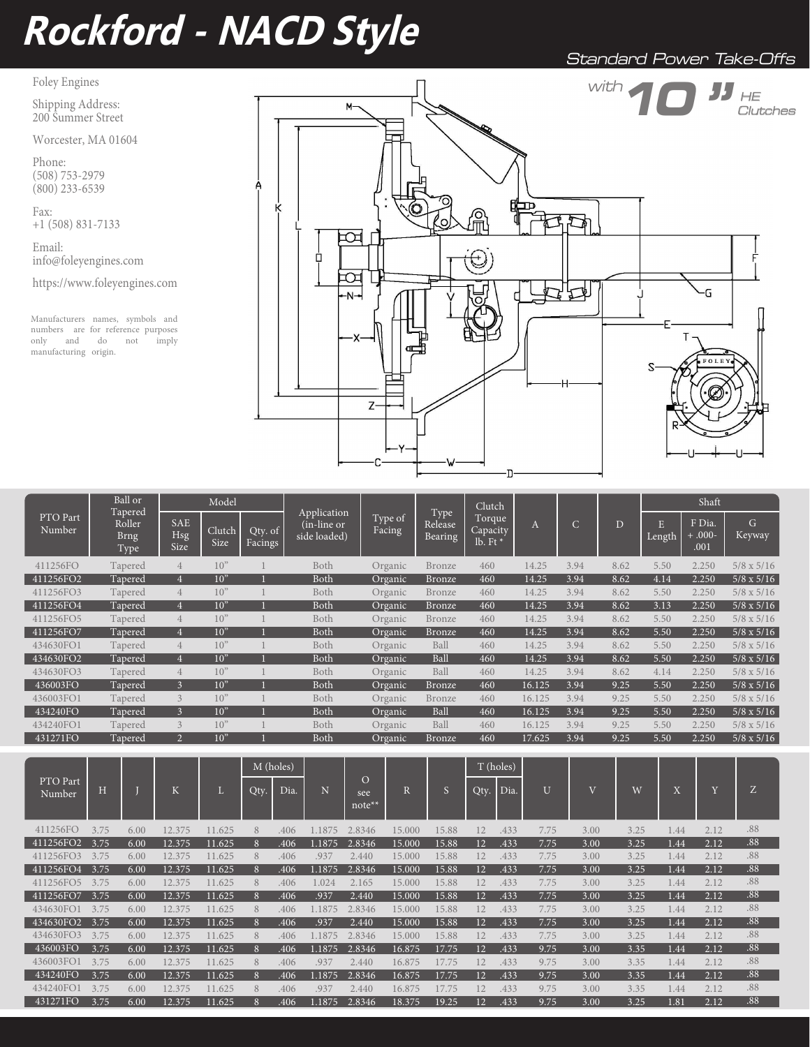# **Rockford - NACD Style**

Standard Power Take-Offs

Foley Engines

Shipping Address: 200 Summer Street

Worcester, MA 01604

Phone: (508) 753-2979  $(800)$  233-6539

Fax: +1 (508) 831-7133

Email: info@foleyengines.com

https://www.foleyengines.com

Manufacturers names, symbols and numbers are for reference purposes<br>only and do not imply only and  $\hspace{15pt}$  do  $\hspace{15pt}$  not manufacturing origin.



|                    | Ball or<br>Tapered<br>Roller<br><b>Brng</b><br>Type | Model                            |                 | Application        |                              |                   | Clutch                            |                                  |          |               | Shaft |                     |                           |                         |
|--------------------|-----------------------------------------------------|----------------------------------|-----------------|--------------------|------------------------------|-------------------|-----------------------------------|----------------------------------|----------|---------------|-------|---------------------|---------------------------|-------------------------|
| PTO Part<br>Number |                                                     | <b>SAE</b><br><b>Hsg</b><br>Size | Clutch<br>Size  | Qty. of<br>Facings | (in-line or)<br>side loaded) | Type of<br>Facing | Type<br>Release<br><b>Bearing</b> | Torque<br>Capacity<br>lb. Ft $*$ | $\bf{A}$ | $\mathcal{C}$ | D     | $Len\overline{g}th$ | F Dia.<br>$+000-$<br>.001 | $\mathcal{G}$<br>Keyway |
| 411256FO           | Tapered                                             |                                  | 10"             |                    | Both                         | Organic           | Bronze                            | 460                              | 14.25    | 3.94          | 8.62  | 5.50                | 2.250                     | $5/8 \times 5/16$       |
| 411256FO2          | Tapered                                             | 4                                | 10"             |                    | Both                         | Organic           | <b>Bronze</b>                     | 460                              | 14.25    | 3.94          | 8.62  | 4.14                | 2.250                     | $5/8 \times 5/16$       |
| 411256FO3          | Tapered                                             | $\overline{4}$                   | 10"             |                    | Both                         | Organic           | Bronze                            | 460                              | 14.25    | 3.94          | 8.62  | 5.50                | 2.250                     | $5/8 \times 5/16$       |
| 411256FO4          | Tapered                                             |                                  | 10"             |                    | Both                         | Organic           | <b>Bronze</b>                     | 460                              | 14.25    | 3.94          | 8.62  | 3.13                | 2.250                     | $5/8 \times 5/16$       |
| 411256FO5          | Tapered                                             | $\overline{4}$                   | 10"             |                    | Both                         | Organic           | Bronze                            | 460                              | 14.25    | 3.94          | 8.62  | 5.50                | 2.250                     | $5/8 \times 5/16$       |
| 411256FO7          | Tapered                                             | 4                                | 10 <sup>9</sup> |                    | Both                         | Organic           | <b>Bronze</b>                     | 460                              | 14.25    | 3.94          | 8.62  | 5.50                | 2.250                     | $5/8 \times 5/16$       |
| 434630FO1          | Tapered                                             | $\overline{4}$                   | 10"             |                    | Both                         | Organic           | Ball                              | 460                              | 14.25    | 3.94          | 8.62  | 5.50                | 2.250                     | $5/8 \times 5/16$       |
| 434630FO2          | Tapered                                             | 4                                | 10"             |                    | Both                         | Organic           | Ball                              | 460                              | 14.25    | 3.94          | 8.62  | 5.50                | 2.250                     | $5/8 \times 5/16$       |
| 434630FO3          | Tapered                                             | $\overline{4}$                   | 10 <sup>2</sup> |                    | Both                         | Organic           | Ball                              | 460                              | 14.25    | 3.94          | 8.62  | 4.14                | 2.250                     | $5/8 \times 5/16$       |
| 436003FO           | Tapered                                             | $\mathbf{3}$                     | 10"             |                    | Both                         | Organic           | <b>Bronze</b>                     | 460                              | 16.125   | 3.94          | 9.25  | 5.50                | 2.250                     | $5/8 \times 5/16$       |
| 436003FO1          | Tapered                                             | $\overline{\mathbf{3}}$          | 10 <sup>2</sup> |                    | Both                         | Organic           | Bronze                            | 460                              | 16.125   | 3.94          | 9.25  | 5.50                | 2.250                     | $5/8 \times 5/16$       |
| 434240FO           | Tapered                                             | $\mathbf{3}$                     | 10"             |                    | Both                         | Organic           | Ball                              | 460                              | 16.125   | 3.94          | 9.25  | 5.50                | 2.250                     | $5/8 \times 5/16$       |
| 434240FO1          | Tapered                                             | $\mathcal{E}$                    | 10 <sup>2</sup> |                    | Both                         | Organic           | Ball                              | 460                              | 16.125   | 3.94          | 9.25  | 5.50                | 2.250                     | $5/8 \times 5/16$       |
| 431271FO           | Tapered                                             | 2                                | 10"             |                    | Both                         | Organic           | <b>Bronze</b>                     | 460                              | 17.625   | 3.94          | 9.25  | 5.50                | 2.250                     | $5/8 \times 5/16$       |

|                    |      |      |        |        | M (holes) |      |        |                           |        |       |      | T (holes) |                |                |      |                                      |                         |     |
|--------------------|------|------|--------|--------|-----------|------|--------|---------------------------|--------|-------|------|-----------|----------------|----------------|------|--------------------------------------|-------------------------|-----|
| PTO Part<br>Number | H    |      | K      |        | Qty.      | Dia. | 'N.    | $\Omega$<br>see<br>note** |        |       | Qty. | Dia.      | $\overline{U}$ | $\overline{V}$ | W    | $\overline{\mathbf{v}}$<br>$\Lambda$ | $\overline{\mathbf{v}}$ | Z   |
| 411256FO           | 3.75 | 6.00 | 12.375 | 11.625 | 8         | .406 | 1.1875 | 2.8346                    | 15.000 | 15.88 | 12   | .433      | 7.75           | 3.00           | 3.25 | 1.44                                 | 2.12                    | .88 |
| 411256FO2          | 3.75 | 6.00 | 12.375 | 11.625 | 8         | .406 | .1875  | 2.8346                    | 15.000 | 15.88 | 12   | .433      | 7.75           | 3.00           | 3.25 | 1.44                                 | 2.12                    | .88 |
| 411256FO3          | 3.75 | 6.00 | 12.375 | 11.625 | 8         | .406 | .937   | 2.440                     | 15.000 | 15.88 | 12   | .433      | 7.75           | 3.00           | 3.25 | 1.44                                 | 2.12                    | .88 |
| 411256FO4          | 3.75 | 6.00 | 12.375 | 11.625 | 8         | .406 | 1.1875 | 2.8346                    | 15.000 | 15.88 | 12   | .433      | 7.75           | 3.00           | 3.25 | 1.44                                 | 2.12                    | .88 |
| 411256FO5          | 3.75 | 6.00 | 12.375 | 11.625 | 8         | .406 | 1.024  | 2.165                     | 15.000 | 15.88 | 12   | .433      | 7.75           | 3.00           | 3.25 | 1.44                                 | 2.12                    | .88 |
| 411256FO7          | 3.75 | 6.00 | 12.375 | 11.625 | 8         | .406 | .937   | 2.440                     | 15.000 | 15.88 | 12   | .433      | 7.75           | 3.00           | 3.25 | 1.44                                 | 2.12                    | .88 |
| 434630FO1          | 3.75 | 6.00 | 12.375 | 11.625 | 8         | .406 | 1.1875 | 2.8346                    | 15.000 | 15.88 | 12   | .433      | 7.75           | 3.00           | 3.25 | 1.44                                 | 2.12                    | .88 |
| 434630FO2          | 3.75 | 6.00 | 12.375 | 11.625 | 8         | .406 | .937   | 2.440                     | 15.000 | 15.88 | 12   | .433      | 7.75           | 3.00           | 3.25 | 1.44                                 | 2.12                    | .88 |
| 434630FO3          | 3.75 | 6.00 | 12.375 | 11.625 | 8         | .406 | 1.1875 | 2.8346                    | 15.000 | 15.88 | 12   | .433      | 7.75           | 3.00           | 3.25 | 1.44                                 | 2.12                    | .88 |
| 436003FO           | 3.75 | 6.00 | 12.375 | 11.625 | 8         | .406 | 1.1875 | 2.8346                    | 16.875 | 17.75 | 12   | .433      | 9.75           | 3.00           | 3.35 | 1.44                                 | 2.12                    | .88 |
| 436003FO1          | 3.75 | 6.00 | 12.375 | 11.625 | 8         | .406 | .937   | 2.440                     | 16.875 | 17.75 | 12   | .433      | 9.75           | 3.00           | 3.35 | 1.44                                 | 2.12                    | .88 |
| 434240FO           | 3.75 | 6.00 | 12.375 | 11.625 | 8         | .406 | .1875  | 2.8346                    | 16.875 | 17.75 | 12   | .433      | 9.75           | 3.00           | 3.35 | 1.44                                 | 2.12                    | .88 |
| 434240FO1          | 3.75 | 6.00 | 12.375 | 11.625 | 8         | .406 | .937   | 2.440                     | 16.875 | 17.75 | 12   | .433      | 9.75           | 3.00           | 3.35 | 1.44                                 | 2.12                    | .88 |
| 431271FO           | 3.75 | 6.00 | 12.375 | 11.625 |           | .406 | .1875  | 2.8346                    | 18.375 | 19.25 | 12   | .433      | 9.75           | 3.00           | 3.25 | 1.81                                 | 2.12                    | .88 |